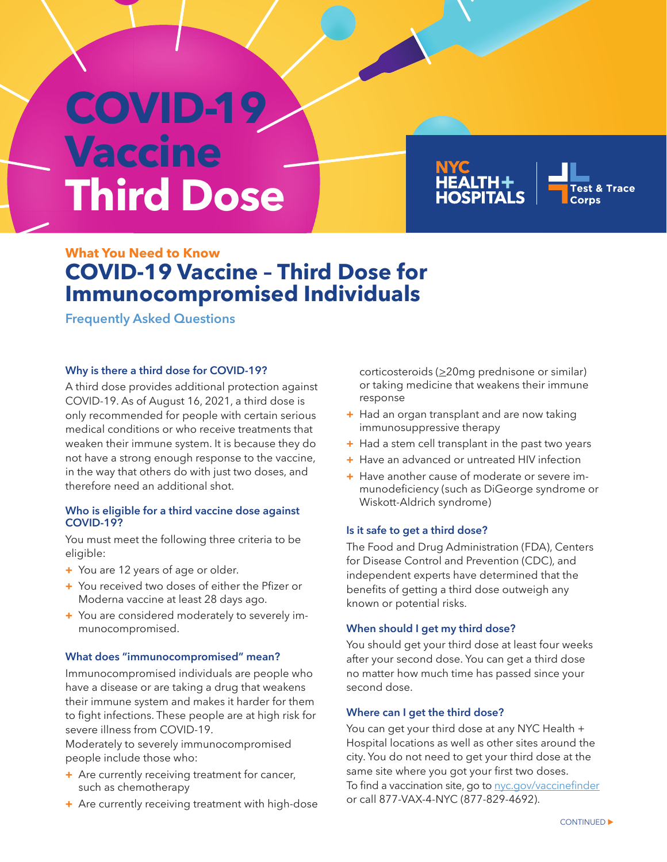# **COVID-19 Vaccine Third Dose**



# **What You Need to Know COVID-19 Vaccine – Third Dose for Immunocompromised Individuals**

**Frequently Asked Questions**

# **Why is there a third dose for COVID-19?**

A third dose provides additional protection against COVID-19. As of August 16, 2021, a third dose is only recommended for people with certain serious medical conditions or who receive treatments that weaken their immune system. It is because they do not have a strong enough response to the vaccine, in the way that others do with just two doses, and therefore need an additional shot.

## **Who is eligible for a third vaccine dose against COVID-19?**

You must meet the following three criteria to be eligible:

- **+** You are 12 years of age or older.
- **+** You received two doses of either the Pfizer or Moderna vaccine at least 28 days ago.
- **+** You are considered moderately to severely immunocompromised.

# **What does "immunocompromised" mean?**

Immunocompromised individuals are people who have a disease or are taking a drug that weakens their immune system and makes it harder for them to fight infections. These people are at high risk for severe illness from COVID-19.

Moderately to severely immunocompromised people include those who:

- **+** Are currently receiving treatment for cancer, such as chemotherapy
- **+** Are currently receiving treatment with high-dose

corticosteroids ( $\geq$ 20mg prednisone or similar) or taking medicine that weakens their immune response

- **+** Had an organ transplant and are now taking immunosuppressive therapy
- **+** Had a stem cell transplant in the past two years
- **+** Have an advanced or untreated HIV infection
- **+** Have another cause of moderate or severe immunodeficiency (such as DiGeorge syndrome or Wiskott-Aldrich syndrome)

# **Is it safe to get a third dose?**

The Food and Drug Administration (FDA), Centers for Disease Control and Prevention (CDC), and independent experts have determined that the benefits of getting a third dose outweigh any known or potential risks.

# **When should I get my third dose?**

You should get your third dose at least four weeks after your second dose. You can get a third dose no matter how much time has passed since your second dose.

# **Where can I get the third dose?**

You can get your third dose at any NYC Health + Hospital locations as well as other sites around the city. You do not need to get your third dose at the same site where you got your first two doses. To find a vaccination site, go to [nyc.gov/vaccinefinder](https://vaccinefinder.nyc.gov) or call 877-VAX-4-NYC (877-829-4692).